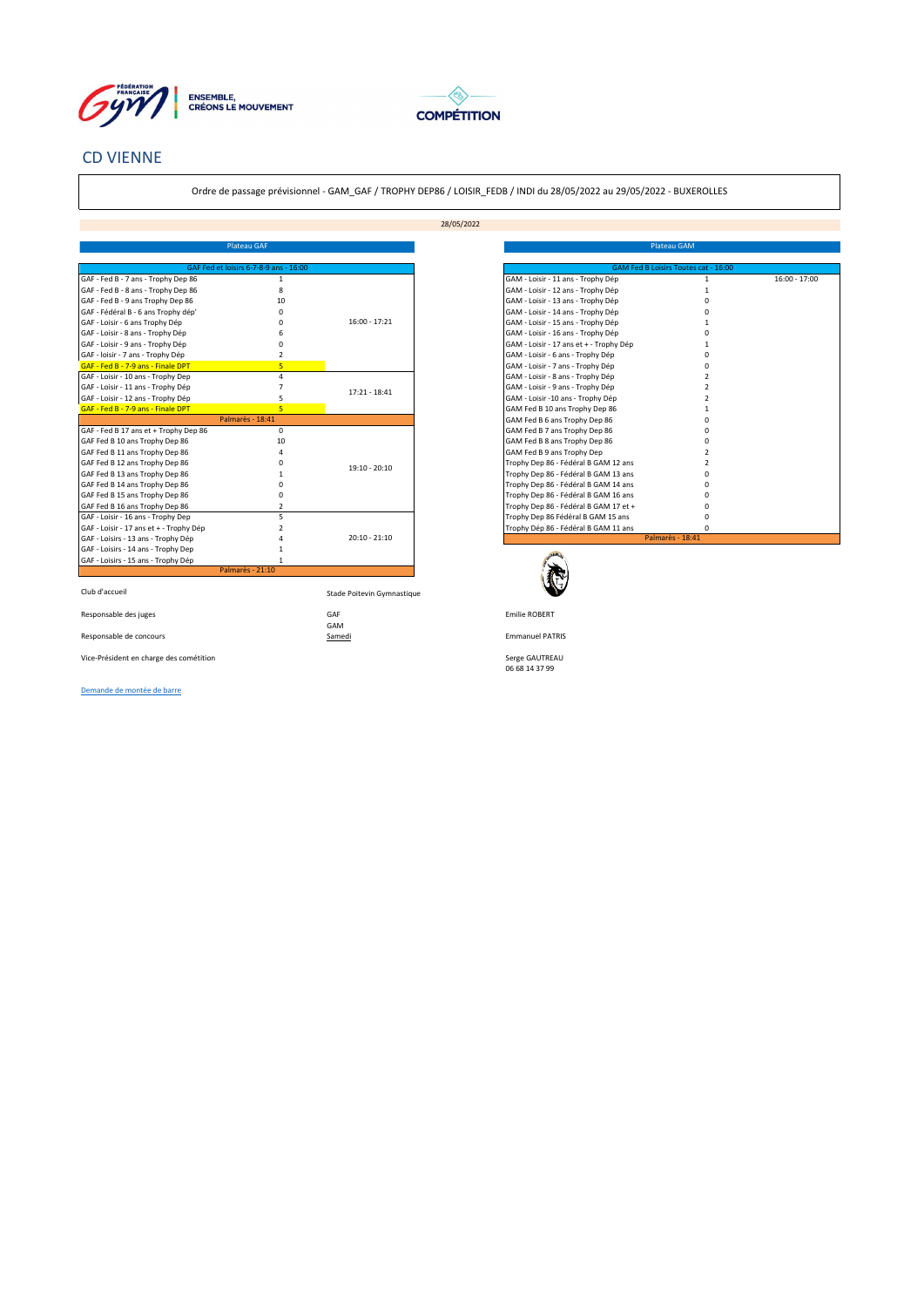



## CD VIENNE

Ordre de passage prévisionnel - GAM\_GAF / TROPHY DEP86 / LOISIR\_FEDB / INDI du 28/05/2022 au 29/05/2022 - BUXEROLLES

28/05/2022

|                                         | Plateau GAF                            |                            |                                         |
|-----------------------------------------|----------------------------------------|----------------------------|-----------------------------------------|
|                                         |                                        |                            |                                         |
|                                         | GAF Fed et loisirs 6-7-8-9 ans - 16:00 |                            | GAM Fed B Loisirs Toutes cat - 16:00    |
| GAF - Fed B - 7 ans - Trophy Dep 86     | $\mathbf{1}$                           |                            | GAM - Loisir - 11 ans - Trophy Dép      |
| GAF - Fed B - 8 ans - Trophy Dep 86     | 8                                      |                            | GAM - Loisir - 12 ans - Trophy Dép      |
| GAF - Fed B - 9 ans Trophy Dep 86       | 10                                     |                            | GAM - Loisir - 13 ans - Trophy Dép      |
| GAF - Fédéral B - 6 ans Trophy dép'     | $\Omega$                               |                            | GAM - Loisir - 14 ans - Trophy Dép      |
| GAF - Loisir - 6 ans Trophy Dép         | $\Omega$                               | $16:00 - 17:21$            | GAM - Loisir - 15 ans - Trophy Dép      |
| GAF - Loisir - 8 ans - Trophy Dép       | 6                                      |                            | GAM - Loisir - 16 ans - Trophy Dép      |
| GAF - Loisir - 9 ans - Trophy Dép       | Ō                                      |                            | GAM - Loisir - 17 ans et + - Trophy Dép |
| GAF - loisir - 7 ans - Trophy Dép       | $\overline{2}$                         |                            | GAM - Loisir - 6 ans - Trophy Dép       |
| GAF - Fed B - 7-9 ans - Finale DPT      | 5                                      |                            | GAM - Loisir - 7 ans - Trophy Dép       |
| GAF - Loisir - 10 ans - Trophy Dep      | 4                                      |                            | GAM - Loisir - 8 ans - Trophy Dép       |
| GAF - Loisir - 11 ans - Trophy Dép      | 7                                      | $17:21 - 18:41$            | GAM - Loisir - 9 ans - Trophy Dép       |
| GAF - Loisir - 12 ans - Trophy Dép      | 5                                      |                            | GAM - Loisir -10 ans - Trophy Dép       |
| GAF - Fed B - 7-9 ans - Finale DPT      | 5                                      |                            | GAM Fed B 10 ans Trophy Dep 86          |
|                                         | Palmarès - 18:41                       |                            | GAM Fed B 6 ans Trophy Dep 86           |
| GAF - Fed B 17 ans et + Trophy Dep 86   | $\mathbf 0$                            |                            | GAM Fed B 7 ans Trophy Dep 86           |
| GAF Fed B 10 ans Trophy Dep 86          | 10                                     |                            | GAM Fed B 8 ans Trophy Dep 86           |
| GAF Fed B 11 ans Trophy Dep 86          | Δ                                      |                            | GAM Fed B 9 ans Trophy Dep              |
| GAF Fed B 12 ans Trophy Dep 86          | $\Omega$                               |                            | Trophy Dep 86 - Fédéral B GAM 12 ans    |
| GAF Fed B 13 ans Trophy Dep 86          |                                        | 19:10 - 20:10              | Trophy Dep 86 - Fédéral B GAM 13 ans    |
| GAF Fed B 14 ans Trophy Dep 86          | n                                      |                            | Trophy Dep 86 - Fédéral B GAM 14 ans    |
| GAF Fed B 15 ans Trophy Dep 86          | $\Omega$                               |                            | Trophy Dep 86 - Fédéral B GAM 16 ans    |
| GAF Fed B 16 ans Trophy Dep 86          | 2                                      |                            | Trophy Dep 86 - Fédéral B GAM 17 et +   |
| GAF - Loisir - 16 ans - Trophy Dep      | 5                                      |                            | Trophy Dep 86 Fédéral B GAM 15 ans      |
| GAF - Loisir - 17 ans et + - Trophy Dép | 2                                      |                            | Trophy Dép 86 - Fédéral B GAM 11 ans    |
| GAF - Loisirs - 13 ans - Trophy Dép     |                                        | $20:10 - 21:10$            |                                         |
| GAF - Loisirs - 14 ans - Trophy Dep     |                                        |                            |                                         |
| GAF - Loisirs - 15 ans - Trophy Dép     |                                        |                            |                                         |
|                                         | Palmarès - 21:10                       |                            |                                         |
|                                         |                                        |                            |                                         |
| Club d'accueil                          |                                        | Stade Poitevin Gymnastique |                                         |
| Responsable des juges                   |                                        | GAF                        | <b>Emilie ROBERT</b>                    |
|                                         |                                        | GAM                        |                                         |
| Responsable de concours                 |                                        | Samedi                     | <b>Emmanuel PATRIS</b>                  |
|                                         |                                        |                            |                                         |

| <b>Plateau GAF</b>                     |                 | Plateau GAM                               |                 |
|----------------------------------------|-----------------|-------------------------------------------|-----------------|
| GAF Fed et loisirs 6-7-8-9 ans - 16:00 |                 | GAM Fed B Loisirs Toutes cat - 16:00      |                 |
| 86<br>1                                |                 | GAM - Loisir - 11 ans - Trophy Dép        | $16:00 - 17:00$ |
| 86<br>×                                |                 | GAM - Loisir - 12 ans - Trophy Dép        |                 |
| 10                                     |                 | GAM - Loisir - 13 ans - Trophy Dép        |                 |
|                                        |                 | GAM - Loisir - 14 ans - Trophy Dép        |                 |
|                                        | $16:00 - 17:21$ | GAM - Loisir - 15 ans - Trophy Dép        |                 |
|                                        |                 | GAM - Loisir - 16 ans - Trophy Dép        |                 |
|                                        |                 | GAM - Loisir - 17 ans et + - Trophy Dép   |                 |
|                                        |                 | GAM - Loisir - 6 ans - Trophy Dép         |                 |
| 5                                      |                 | GAM - Loisir - 7 ans - Trophy Dép         |                 |
| Δ                                      |                 | GAM - Loisir - 8 ans - Trophy Dép         |                 |
|                                        | $17:21 - 18:41$ | GAM - Loisir - 9 ans - Trophy Dép         |                 |
| 5                                      |                 | GAM - Loisir -10 ans - Trophy Dép         |                 |
| $\overline{\mathbf{5}}$                |                 | GAM Fed B 10 ans Trophy Dep 86            |                 |
| Palmarès - 18:41                       |                 | GAM Fed B 6 ans Trophy Dep 86             |                 |
| ep 86<br>$\Omega$                      |                 | GAM Fed B 7 ans Trophy Dep 86             |                 |
| 10                                     |                 | GAM Fed B 8 ans Trophy Dep 86             |                 |
|                                        |                 | GAM Fed B 9 ans Trophy Dep                |                 |
|                                        | $19:10 - 20:10$ | Trophy Dep 86 - Fédéral B GAM 12 ans      |                 |
|                                        |                 | Trophy Dep 86 - Fédéral B GAM 13 ans      |                 |
|                                        |                 | Trophy Dep 86 - Fédéral B GAM 14 ans      |                 |
|                                        |                 | Trophy Dep 86 - Fédéral B GAM 16 ans      |                 |
|                                        |                 | Trophy Dep 86 - Fédéral B GAM 17 et +     |                 |
| с                                      |                 | Trophy Dep 86 Fédéral B GAM 15 ans        |                 |
| y Dép                                  |                 | Trophy Dép 86 - Fédéral B GAM 11 ans<br>n |                 |
| éр                                     | $20:10 - 21:10$ | Palmarès - 18:41                          |                 |



Responsable de concours Emmanuel PATRIS

Serge GAUTREAU<br>06 68 14 37 99

[Demande de montée de barre](https://forms.gle/36Lbh2HLSw7FeUkN8)

Vice-Président en charge des cométition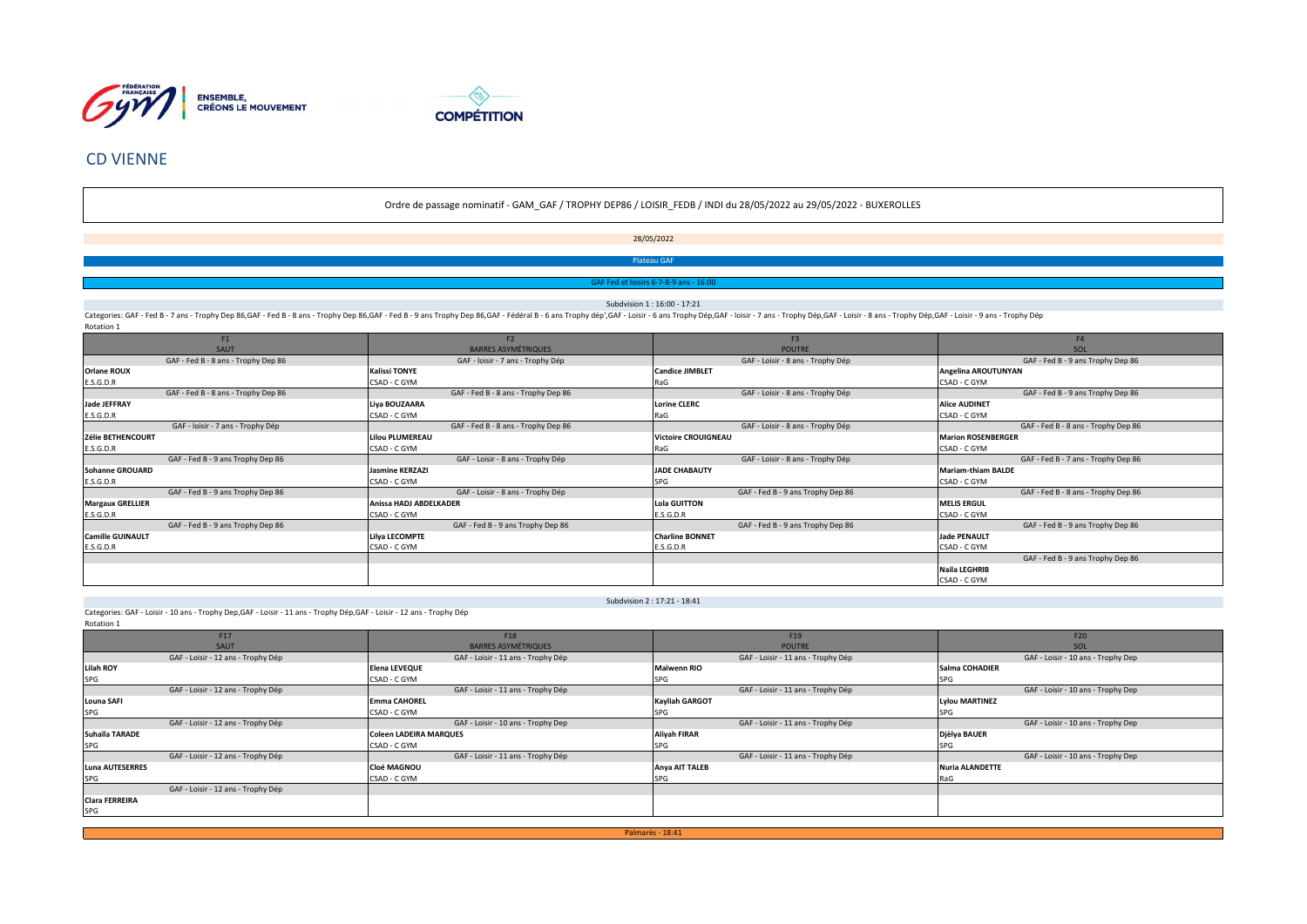



## CD VIENNE

### Ordre de passage nominatif - GAM\_GAF / TROPHY DEP86 / LOISIR\_FEDB / INDI du 28/05/2022 au 29/05/2022 - BUXEROLLES

28/05/2022

Plateau GAF

irs 6-7-8-9 ans - 16

Subdvision 1 : 16:00 - 17:21

Categories: GAF - Fed B - 7 ans - Trophy Dep 86,GAF - Fed B - 8 ans - Trophy Dep 86,GAF - Fed B - 9 ans Trophy Dep 86,GAF - Fed B - 9 ans Trophy Dep 86,GAF - Federal B - 6 ans Trophy Dep 86,GAF - Loisir - 6 ans Trophy Dep, Rotation 1

| F1                                  | F <sub>2</sub>                      | F <sub>3</sub>                    | F <sub>4</sub>                      |
|-------------------------------------|-------------------------------------|-----------------------------------|-------------------------------------|
| <b>SAUT</b>                         | <b>BARRES ASYMÉTRIQUES</b>          | <b>POUTRE</b>                     | SOL                                 |
| GAF - Fed B - 8 ans - Trophy Dep 86 | GAF - loisir - 7 ans - Trophy Dép   | GAF - Loisir - 8 ans - Trophy Dép | GAF - Fed B - 9 ans Trophy Dep 86   |
| Orlane ROUX                         | <b>Kalissi TONYE</b>                | <b>Candice JIMBLET</b>            | Angelina AROUTUNYAN                 |
| E.S.G.D.R                           | CSAD - C GYM                        | RaG                               | CSAD - C GYM                        |
| GAF - Fed B - 8 ans - Trophy Dep 86 | GAF - Fed B - 8 ans - Trophy Dep 86 | GAF - Loisir - 8 ans - Trophy Dép | GAF - Fed B - 9 ans Trophy Dep 86   |
| <b>Jade JEFFRAY</b>                 | Liya BOUZAARA                       | <b>Lorine CLERC</b>               | <b>Alice AUDINET</b>                |
| E.S.G.D.R                           | CSAD - C GYM                        | RaG                               | CSAD - C GYM                        |
| GAF - loisir - 7 ans - Trophy Dép   | GAF - Fed B - 8 ans - Trophy Dep 86 | GAF - Loisir - 8 ans - Trophy Dép | GAF - Fed B - 8 ans - Trophy Dep 86 |
| Zélie BETHENCOURT                   | <b>Lilou PLUMEREAU</b>              | <b>Victoire CROUIGNEAU</b>        | <b>Marion ROSENBERGER</b>           |
| E.S.G.D.R                           | CSAD - C GYM                        | RaG                               | CSAD - C GYM                        |
| GAF - Fed B - 9 ans Trophy Dep 86   | GAF - Loisir - 8 ans - Trophy Dép   | GAF - Loisir - 8 ans - Trophy Dép | GAF - Fed B - 7 ans - Trophy Dep 86 |
| <b>Sohanne GROUARD</b>              | <b>Jasmine KERZAZI</b>              | <b>JADE CHABAUTY</b>              | <b>Mariam-thiam BALDE</b>           |
| E.S.G.D.R                           | CSAD - C GYM                        | SPG                               | CSAD - C GYM                        |
| GAF - Fed B - 9 ans Trophy Dep 86   | GAF - Loisir - 8 ans - Trophy Dép   | GAF - Fed B - 9 ans Trophy Dep 86 | GAF - Fed B - 8 ans - Trophy Dep 86 |
| <b>Margaux GRELLIER</b>             | Anissa HADJ ABDELKADER              | <b>Lola GUITTON</b>               | <b>MELIS ERGUL</b>                  |
| E.S.G.D.R                           | CSAD - C GYM                        | E.S.G.D.R                         | CSAD - C GYM                        |
| GAF - Fed B - 9 ans Trophy Dep 86   | GAF - Fed B - 9 ans Trophy Dep 86   | GAF - Fed B - 9 ans Trophy Dep 86 | GAF - Fed B - 9 ans Trophy Dep 86   |
| <b>Camille GUINAULT</b>             | Lilya LECOMPTE                      | <b>Charline BONNET</b>            | <b>Jade PENAULT</b>                 |
| E.S.G.D.R                           | CSAD - C GYM                        | E.S.G.D.R                         | CSAD - C GYM                        |
|                                     |                                     |                                   | GAF - Fed B - 9 ans Trophy Dep 86   |
|                                     |                                     |                                   | <b>Naila LEGHRIB</b>                |
|                                     |                                     |                                   | CSAD - C GYM                        |

Subdvision 2 : 17:21 - 18:41

Categories: GAF - Loisir - 10 ans - Trophy Dep,GAF - Loisir - 11 ans - Trophy Dép,GAF - Loisir - 12 ans - Trophy Dép Rotation 1

|                        | F17                                | F18                                | F <sub>19</sub>                    | F20                                |
|------------------------|------------------------------------|------------------------------------|------------------------------------|------------------------------------|
|                        | <b>SAUT</b>                        | <b>BARRES ASYMÉTRIQUES</b>         | <b>POUTRE</b>                      | SOL                                |
|                        | GAF - Loisir - 12 ans - Trophy Dép | GAF - Loisir - 11 ans - Trophy Dép | GAF - Loisir - 11 ans - Trophy Dép | GAF - Loisir - 10 ans - Trophy Dep |
| Lilah ROY              |                                    | <b>Elena LEVEQUE</b>               | <b>Maïwenn RIO</b>                 | Salma COHADIER                     |
| SPG                    |                                    | CSAD - C GYM                       | SPG                                | SPG                                |
|                        | GAF - Loisir - 12 ans - Trophy Dép | GAF - Loisir - 11 ans - Trophy Dép | GAF - Loisir - 11 ans - Trophy Dép | GAF - Loisir - 10 ans - Trophy Dep |
| <b>Louna SAFI</b>      |                                    | <b>Emma CAHOREL</b>                | <b>Kayliah GARGOT</b>              | <b>Lylou MARTINEZ</b>              |
| <b>SPG</b>             |                                    | CSAD - C GYM                       |                                    | <b>SPC</b>                         |
|                        | GAF - Loisir - 12 ans - Trophy Dép | GAF - Loisir - 10 ans - Trophy Dep | GAF - Loisir - 11 ans - Trophy Dép | GAF - Loisir - 10 ans - Trophy Dep |
| Suhaïla TARADE         |                                    | <b>Coleen LADEIRA MARQUES</b>      | <b>Aliyah FIRAR</b>                | Djèlya BAUER                       |
| <b>SPG</b>             |                                    | CSAD - C GYM                       | SPG                                | SPG                                |
|                        | GAF - Loisir - 12 ans - Trophy Dép | GAF - Loisir - 11 ans - Trophy Dép | GAF - Loisir - 11 ans - Trophy Dép | GAF - Loisir - 10 ans - Trophy Dep |
| <b>Luna AUTESERRES</b> |                                    | <b>Cloé MAGNOU</b>                 | Anya AIT TALEB                     | <b>Nuria ALANDETTE</b>             |
| <b>SPG</b>             |                                    | CSAD - C GYM                       | SPG                                |                                    |
|                        | GAF - Loisir - 12 ans - Trophy Dép |                                    |                                    |                                    |
| <b>Clara FERREIRA</b>  |                                    |                                    |                                    |                                    |
| SPG                    |                                    |                                    |                                    |                                    |

Palmarès - 18:41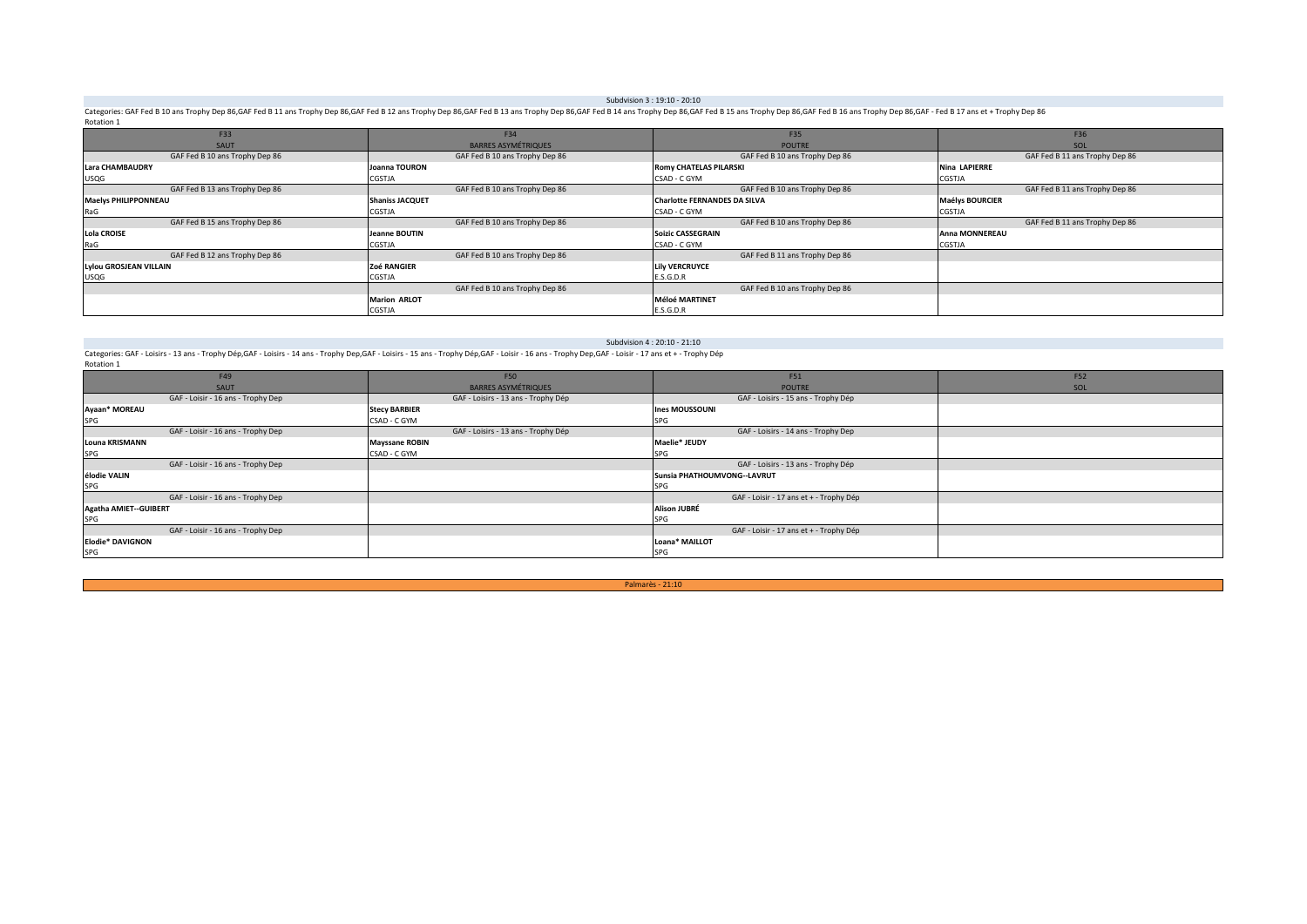#### Subdvision 3 : 19:10 - 20:10

Categories: GAF Fed B 10 ans Trophy Dep 86.GAF Fed B 11 ans Trophy Dep 86.GAF Fed B 12 ans Trophy Dep 86.GAF Fed B 13 ans Trophy Dep 86.GAF Fed B 14 ans Trophy Dep 86.GAF Fed B 15 ans Trophy Dep 86.GAF Fed B 15 ans Trophy Rotation 1

| F33                            | F34                            | F35                                 | F36                            |
|--------------------------------|--------------------------------|-------------------------------------|--------------------------------|
| SAUT                           | <b>BARRES ASYMÉTRIQUES</b>     | <b>POUTRE</b>                       | SOL                            |
| GAF Fed B 10 ans Trophy Dep 86 | GAF Fed B 10 ans Trophy Dep 86 | GAF Fed B 10 ans Trophy Dep 86      | GAF Fed B 11 ans Trophy Dep 86 |
| <b>Lara CHAMBAUDRY</b>         | Joanna TOURON                  | <b>Romy CHATELAS PILARSKI</b>       | <b>Nina LAPIERRE</b>           |
| <b>USQG</b>                    | CGSTJA                         | CSAD - C GYM                        | <b>CGSTJA</b>                  |
| GAF Fed B 13 ans Trophy Dep 86 | GAF Fed B 10 ans Trophy Dep 86 | GAF Fed B 10 ans Trophy Dep 86      | GAF Fed B 11 ans Trophy Dep 86 |
| <b>Maelys PHILIPPONNEAU</b>    | <b>Shaniss JACQUET</b>         | <b>Charlotte FERNANDES DA SILVA</b> | <b>Maélys BOURCIER</b>         |
| RaG                            | CGSTJA                         | CSAD - C GYM                        | CGSTJA                         |
| GAF Fed B 15 ans Trophy Dep 86 | GAF Fed B 10 ans Trophy Dep 86 | GAF Fed B 10 ans Trophy Dep 86      | GAF Fed B 11 ans Trophy Dep 86 |
| <b>Lola CROISE</b>             | Jeanne BOUTIN                  | <b>Soizic CASSEGRAIN</b>            | <b>Anna MONNEREAU</b>          |
| RaG                            | CGSTJA                         | CSAD - C GYM                        | CGSTJA                         |
| GAF Fed B 12 ans Trophy Dep 86 | GAF Fed B 10 ans Trophy Dep 86 | GAF Fed B 11 ans Trophy Dep 86      |                                |
| <b>Lylou GROSJEAN VILLAIN</b>  | Zoé RANGIER                    | <b>Lily VERCRUYCE</b>               |                                |
| <b>USQG</b>                    | CGSTJA                         | E.S.G.D.R                           |                                |
|                                | GAF Fed B 10 ans Trophy Dep 86 | GAF Fed B 10 ans Trophy Dep 86      |                                |
|                                | <b>Marion ARLOT</b>            | <b>Méloé MARTINET</b>               |                                |
|                                | <b>CGSTJA</b>                  | E.S.G.D.R                           |                                |

#### Subdvision 4: 20:10 - 21:10

Categories: GAF - Loisirs - 13 ans - Trophy Dép,GAF - Loisirs - 14 ans - Trophy Dep,GAF - Loisirs - 15 ans - Trophy Dép,GAF - Loisir - 16 ans - Trophy Dép,GAF - Loisir - 17 ans - Trophy Dép<br>Categories: GAF - Loisir - 17 a Rotation 1

| F49                                | F50                                 | F51                                     | F52        |
|------------------------------------|-------------------------------------|-----------------------------------------|------------|
| SAUT                               | <b>BARRES ASYMÉTRIQUES</b>          | <b>POUTRE</b>                           | <b>SOL</b> |
| GAF - Loisir - 16 ans - Trophy Dep | GAF - Loisirs - 13 ans - Trophy Dép | GAF - Loisirs - 15 ans - Trophy Dép     |            |
| Ayaan* MOREAU                      | <b>Stecy BARBIER</b>                | <b>Ines MOUSSOUNI</b>                   |            |
| SPG                                | CSAD - C GYM                        | <b>SPG</b>                              |            |
| GAF - Loisir - 16 ans - Trophy Dep | GAF - Loisirs - 13 ans - Trophy Dép | GAF - Loisirs - 14 ans - Trophy Dep     |            |
| <b>Louna KRISMANN</b>              | <b>Mayssane ROBIN</b>               | Maelie* JEUDY                           |            |
| SPG                                | CSAD - C GYM                        |                                         |            |
| GAF - Loisir - 16 ans - Trophy Dep |                                     | GAF - Loisirs - 13 ans - Trophy Dép     |            |
| élodie VALIN                       |                                     | Sunsia PHATHOUMVONG--LAVRUT             |            |
| SPG                                |                                     |                                         |            |
| GAF - Loisir - 16 ans - Trophy Dep |                                     | GAF - Loisir - 17 ans et + - Trophy Dép |            |
| Agatha AMIET--GUIBERT              |                                     | <b>Alison JUBRÉ</b>                     |            |
| <b>SPG</b>                         |                                     | <b>SPG</b>                              |            |
| GAF - Loisir - 16 ans - Trophy Dep |                                     | GAF - Loisir - 17 ans et + - Trophy Dép |            |
| <b>Elodie* DAVIGNON</b>            |                                     | Loana* MAILLOT                          |            |
| SPG                                |                                     | SPG                                     |            |

Palmarès - 21:10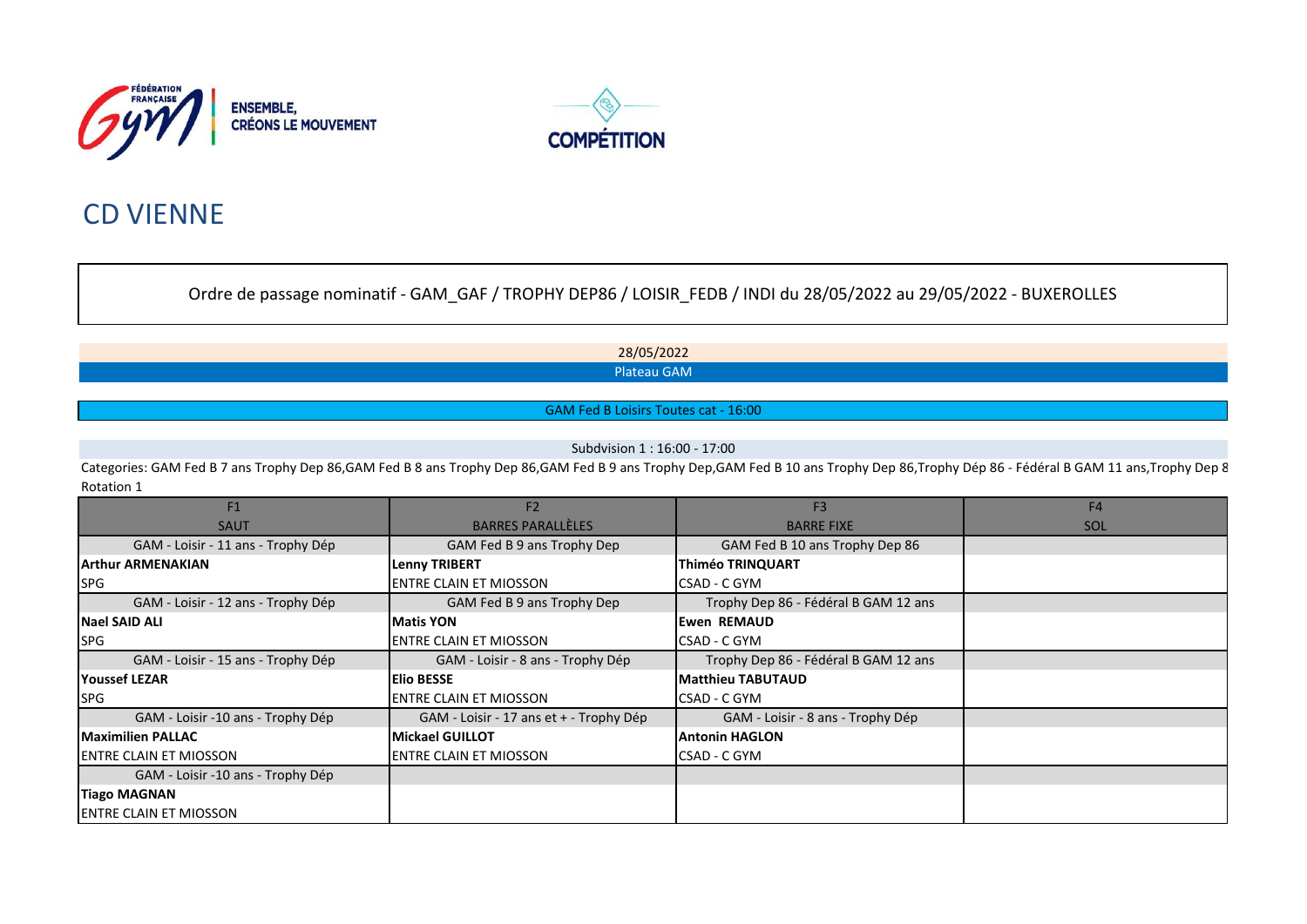



# CD VIENNE

Ordre de passage nominatif - GAM\_GAF / TROPHY DEP86 / LOISIR\_FEDB / INDI du 28/05/2022 au 29/05/2022 - BUXEROLLES

28/05/2022 Plateau GAM

GAM Fed B Loisirs Toutes cat - 16:00

Subdvision 1 : 16:00 - 17:00

Categories: GAM Fed B 7 ans Trophy Dep 86,GAM Fed B 8 ans Trophy Dep 86,GAM Fed B 9 ans Trophy Dep,GAM Fed B 10 ans Trophy Dep 86,Trophy Dép 86 - Fédéral B GAM 11 ans,Trophy Dep 8 Rotation 1

| F1                                 | F <sub>2</sub>                          | F <sub>3</sub>                       | F <sub>4</sub> |
|------------------------------------|-----------------------------------------|--------------------------------------|----------------|
| <b>SAUT</b>                        | <b>BARRES PARALLÈLES</b>                | <b>BARRE FIXE</b>                    | SOL            |
| GAM - Loisir - 11 ans - Trophy Dép | GAM Fed B 9 ans Trophy Dep              | GAM Fed B 10 ans Trophy Dep 86       |                |
| <b>IArthur ARMENAKIAN</b>          | <b>Lenny TRIBERT</b>                    | <b>Thiméo TRINQUART</b>              |                |
| <b>SPG</b>                         | <b>IENTRE CLAIN ET MIOSSON</b>          | CSAD - C GYM                         |                |
| GAM - Loisir - 12 ans - Trophy Dép | GAM Fed B 9 ans Trophy Dep              | Trophy Dep 86 - Fédéral B GAM 12 ans |                |
| Nael SAID ALI                      | <b>Matis YON</b>                        | <b>Ewen REMAUD</b>                   |                |
| <b>ISPG</b>                        | <b>IENTRE CLAIN ET MIOSSON</b>          | CSAD - C GYM                         |                |
| GAM - Loisir - 15 ans - Trophy Dép | GAM - Loisir - 8 ans - Trophy Dép       | Trophy Dep 86 - Fédéral B GAM 12 ans |                |
| <b>IYoussef LEZAR</b>              | <b>IElio BESSE</b>                      | <b>Matthieu TABUTAUD</b>             |                |
| <b>SPG</b>                         | <b>IENTRE CLAIN ET MIOSSON</b>          | CSAD - C GYM                         |                |
| GAM - Loisir -10 ans - Trophy Dép  | GAM - Loisir - 17 ans et + - Trophy Dép | GAM - Loisir - 8 ans - Trophy Dép    |                |
| <b>Maximilien PALLAC</b>           | <b>Mickael GUILLOT</b>                  | <b>Antonin HAGLON</b>                |                |
| <b>IENTRE CLAIN ET MIOSSON</b>     | <b>IENTRE CLAIN ET MIOSSON</b>          | CSAD - C GYM                         |                |
| GAM - Loisir -10 ans - Trophy Dép  |                                         |                                      |                |
| <b>Tiago MAGNAN</b>                |                                         |                                      |                |
| <b>ENTRE CLAIN ET MIOSSON</b>      |                                         |                                      |                |